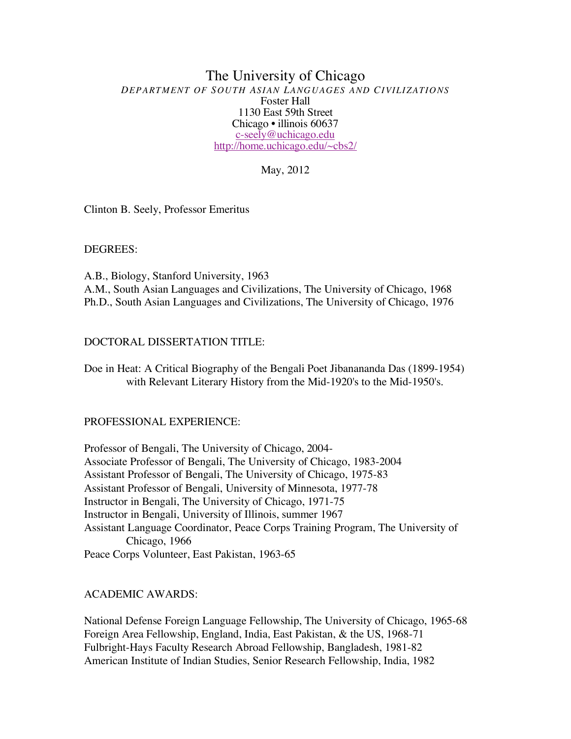### The University of Chicago *DEPARTMENT OF SOUTH ASIAN LANGUAGES AND CIVILIZATIONS* Foster Hall 1130 East 59th Street Chicago • illinois 60637 c-seely@uchicago.edu http://home.uchicago.edu/~cbs2/

May, 2012

Clinton B. Seely, Professor Emeritus

DEGREES:

A.B., Biology, Stanford University, 1963 A.M., South Asian Languages and Civilizations, The University of Chicago, 1968 Ph.D., South Asian Languages and Civilizations, The University of Chicago, 1976

## DOCTORAL DISSERTATION TITLE:

Doe in Heat: A Critical Biography of the Bengali Poet Jibanananda Das (1899-1954) with Relevant Literary History from the Mid-1920's to the Mid-1950's.

### PROFESSIONAL EXPERIENCE:

Professor of Bengali, The University of Chicago, 2004- Associate Professor of Bengali, The University of Chicago, 1983-2004 Assistant Professor of Bengali, The University of Chicago, 1975-83 Assistant Professor of Bengali, University of Minnesota, 1977-78 Instructor in Bengali, The University of Chicago, 1971-75 Instructor in Bengali, University of Illinois, summer 1967 Assistant Language Coordinator, Peace Corps Training Program, The University of Chicago, 1966 Peace Corps Volunteer, East Pakistan, 1963-65

# ACADEMIC AWARDS:

National Defense Foreign Language Fellowship, The University of Chicago, 1965-68 Foreign Area Fellowship, England, India, East Pakistan, & the US, 1968-71 Fulbright-Hays Faculty Research Abroad Fellowship, Bangladesh, 1981-82 American Institute of Indian Studies, Senior Research Fellowship, India, 1982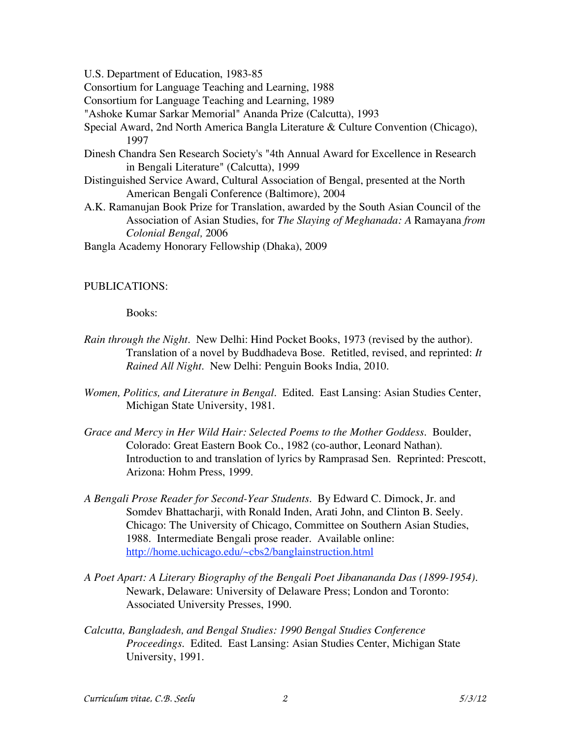U.S. Department of Education, 1983-85

Consortium for Language Teaching and Learning, 1988

Consortium for Language Teaching and Learning, 1989

"Ashoke Kumar Sarkar Memorial" Ananda Prize (Calcutta), 1993

- Special Award, 2nd North America Bangla Literature & Culture Convention (Chicago), 1997
- Dinesh Chandra Sen Research Society's "4th Annual Award for Excellence in Research in Bengali Literature" (Calcutta), 1999
- Distinguished Service Award, Cultural Association of Bengal, presented at the North American Bengali Conference (Baltimore), 2004
- A.K. Ramanujan Book Prize for Translation, awarded by the South Asian Council of the Association of Asian Studies, for *The Slaying of Meghanada: A* Ramayana *from Colonial Bengal,* 2006

Bangla Academy Honorary Fellowship (Dhaka), 2009

## PUBLICATIONS:

Books:

- *Rain through the Night.* New Delhi: Hind Pocket Books, 1973 (revised by the author). Translation of a novel by Buddhadeva Bose. Retitled, revised, and reprinted: *It Rained All Night*. New Delhi: Penguin Books India, 2010.
- *Women, Politics, and Literature in Bengal.* Edited. East Lansing: Asian Studies Center, Michigan State University, 1981.
- *Grace and Mercy in Her Wild Hair: Selected Poems to the Mother Goddess.* Boulder, Colorado: Great Eastern Book Co., 1982 (co-author, Leonard Nathan). Introduction to and translation of lyrics by Ramprasad Sen. Reprinted: Prescott, Arizona: Hohm Press, 1999.
- *A Bengali Prose Reader for Second-Year Students.* By Edward C. Dimock, Jr. and Somdev Bhattacharji, with Ronald Inden, Arati John, and Clinton B. Seely. Chicago: The University of Chicago, Committee on Southern Asian Studies, 1988. Intermediate Bengali prose reader. Available online: http://home.uchicago.edu/~cbs2/banglainstruction.html
- *A Poet Apart: A Literary Biography of the Bengali Poet Jibanananda Das (1899-1954).* Newark, Delaware: University of Delaware Press; London and Toronto: Associated University Presses, 1990.
- *Calcutta, Bangladesh, and Bengal Studies: 1990 Bengal Studies Conference Proceedings.* Edited. East Lansing: Asian Studies Center, Michigan State University, 1991.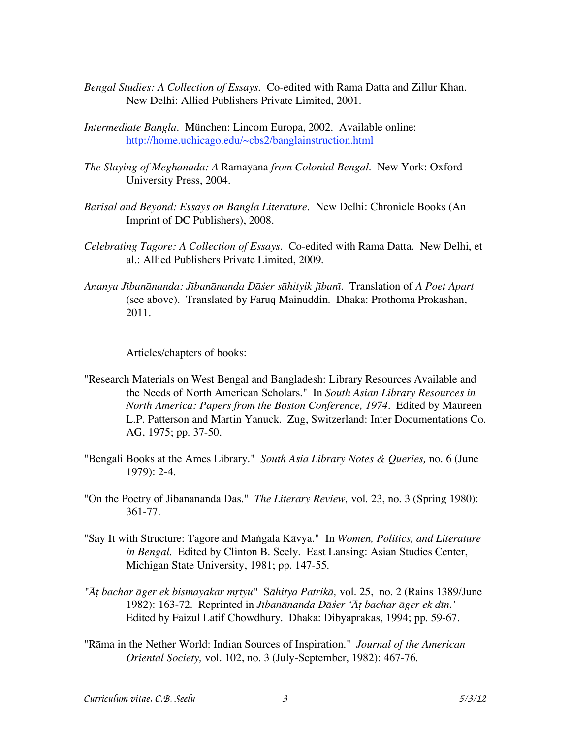- *Bengal Studies: A Collection of Essays*. Co-edited with Rama Datta and Zillur Khan. New Delhi: Allied Publishers Private Limited, 2001.
- *Intermediate Bangla*. München: Lincom Europa, 2002. Available online: http://home.uchicago.edu/~cbs2/banglainstruction.html
- *The Slaying of Meghanada: A* Ramayana *from Colonial Bengal.* New York: Oxford University Press, 2004.
- *Barisal and Beyond: Essays on Bangla Literature.* New Delhi: Chronicle Books (An Imprint of DC Publishers), 2008.
- *Celebrating Tagore: A Collection of Essays*. Co-edited with Rama Datta. New Delhi, et al.: Allied Publishers Private Limited, 2009.
- *Ananya JÆban≠nanda: JÆban≠nanda D≠∏er s≠hityik jÆbanÆ*. Translation of *A Poet Apart* (see above). Translated by Faruq Mainuddin. Dhaka: Prothoma Prokashan, 2011.

Articles/chapters of books:

- "Research Materials on West Bengal and Bangladesh: Library Resources Available and the Needs of North American Scholars." In *South Asian Library Resources in North America: Papers from the Boston Conference, 1974.* Edited by Maureen L.P. Patterson and Martin Yanuck. Zug, Switzerland: Inter Documentations Co. AG, 1975; pp. 37-50.
- "Bengali Books at the Ames Library." *South Asia Library Notes & Queries,* no. 6 (June 1979): 2-4.
- "On the Poetry of Jibanananda Das." *The Literary Review,* vol. 23, no. 3 (Spring 1980): 361-77.
- "Say It with Structure: Tagore and Ma⋲gala K≠vya." In *Women, Politics, and Literature in Bengal.* Edited by Clinton B. Seely. East Lansing: Asian Studies Center, Michigan State University, 1981; pp. 147-55.
- *"π± bachar ≠ger ek bismayakar m∞tyu"* S*≠hitya Patrik≠,* vol. 25, no. 2 (Rains 1389/June 1982): 163-72. Reprinted in *Jībanānanda Dāśer* '*Āt bachar āger ek dīn.*' Edited by Faizul Latif Chowdhury. Dhaka: Dibyaprakas, 1994; pp. 59-67.
- "R≠ma in the Nether World: Indian Sources of Inspiration." *Journal of the American Oriental Society,* vol. 102, no. 3 (July-September, 1982): 467-76.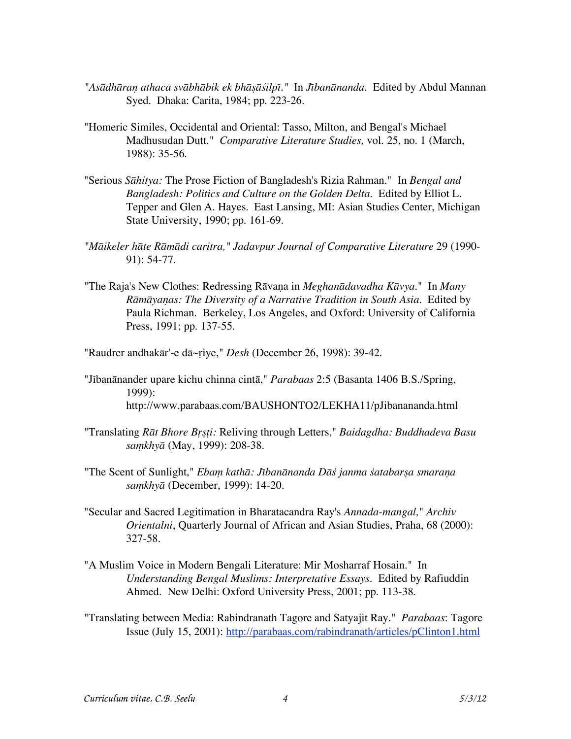- *"As≠dh≠ra≥ athaca sv≠bh≠bik ek bh≠µ≠∏ilpÆ."* In *JÆban≠nanda.* Edited by Abdul Mannan Syed. Dhaka: Carita, 1984; pp. 223-26.
- "Homeric Similes, Occidental and Oriental: Tasso, Milton, and Bengal's Michael Madhusudan Dutt." *Comparative Literature Studies,* vol. 25, no. 1 (March, 1988): 35-56.
- "Serious *S≠hitya:* The Prose Fiction of Bangladesh's Rizia Rahman." In *Bengal and Bangladesh: Politics and Culture on the Golden Delta.* Edited by Elliot L. Tepper and Glen A. Hayes. East Lansing, MI: Asian Studies Center, Michigan State University, 1990; pp. 161-69.
- *"M≠ikeler h≠te R≠m≠di caritra," Jadavpur Journal of Comparative Literature* 29 (1990- 91): 54-77.
- "The Raja's New Clothes: Redressing R≠va≥a in *Meghan≠davadha K≠vya.*" In *Many R≠m≠ya≥as: The Diversity of a Narrative Tradition in South Asia.* Edited by Paula Richman. Berkeley, Los Angeles, and Oxford: University of California Press, 1991; pp. 137-55.

"Raudrer andhakār'-e dā~riye," *Desh* (December 26, 1998): 39-42.

- "Jībanānander upare kichu chinna cintā," *Parabaas* 2:5 (Basanta 1406 B.S./Spring, 1999): http://www.parabaas.com/BAUSHONTO2/LEKHA11/pJibanananda.html
- "Translating *R≠t Bhore B∞µ±i:* Reliving through Letters," *Baidagdha: Buddhadeva Basu sa¥khy≠* (May, 1999): 208-38.
- "The Scent of Sunlight," *Ebam kathā: Jībanānanda Dās' janma satabarsa smarana sa¥khy≠* (December, 1999): 14-20.
- "Secular and Sacred Legitimation in Bharatacandra Ray's *Annada-mangal,*" *Archiv Orientalni*, Quarterly Journal of African and Asian Studies, Praha, 68 (2000): 327-58.
- "A Muslim Voice in Modern Bengali Literature: Mir Mosharraf Hosain." In *Understanding Bengal Muslims: Interpretative Essays.* Edited by Rafiuddin Ahmed. New Delhi: Oxford University Press, 2001; pp. 113-38.
- "Translating between Media: Rabindranath Tagore and Satyajit Ray." *Parabaas*: Tagore Issue (July 15, 2001): http://parabaas.com/rabindranath/articles/pClinton1.html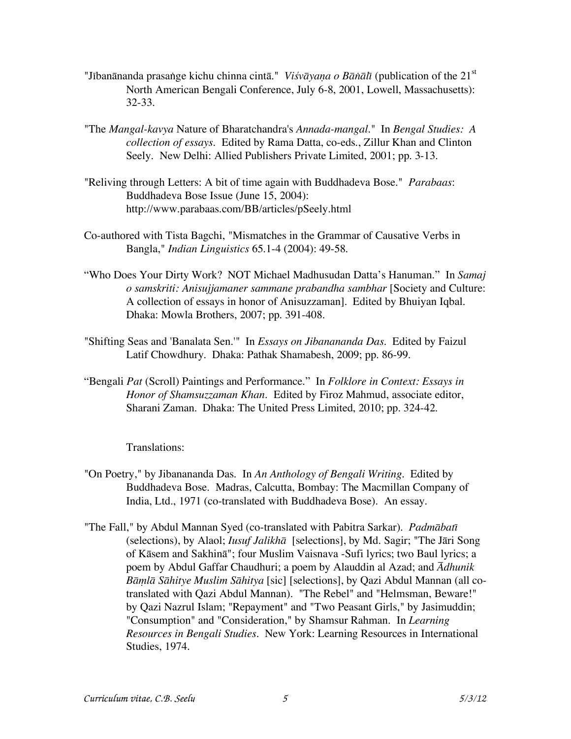- "Jībanānanda prasange kichu chinna cintā." *Viśvāyaṇa o Bānālī* (publication of the 21<sup>st</sup> North American Bengali Conference, July 6-8, 2001, Lowell, Massachusetts): 32-33.
- "The *Mangal-kavya* Nature of Bharatchandra's *Annada-mangal*." In *Bengal Studies: A collection of essays*. Edited by Rama Datta, co-eds., Zillur Khan and Clinton Seely. New Delhi: Allied Publishers Private Limited, 2001; pp. 3-13.
- "Reliving through Letters: A bit of time again with Buddhadeva Bose." *Parabaas*: Buddhadeva Bose Issue (June 15, 2004): http://www.parabaas.com/BB/articles/pSeely.html
- Co-authored with Tista Bagchi, "Mismatches in the Grammar of Causative Verbs in Bangla," *Indian Linguistics* 65.1-4 (2004): 49-58.
- "Who Does Your Dirty Work? NOT Michael Madhusudan Datta's Hanuman." In *Samaj o samskriti: Anisujjamaner sammane prabandha sambhar* [Society and Culture: A collection of essays in honor of Anisuzzaman]. Edited by Bhuiyan Iqbal. Dhaka: Mowla Brothers, 2007; pp. 391-408.
- "Shifting Seas and 'Banalata Sen.'" In *Essays on Jibanananda Das*. Edited by Faizul Latif Chowdhury. Dhaka: Pathak Shamabesh, 2009; pp. 86-99.
- "Bengali *Pat* (Scroll) Paintings and Performance." In *Folklore in Context: Essays in Honor of Shamsuzzaman Khan*. Edited by Firoz Mahmud, associate editor, Sharani Zaman. Dhaka: The United Press Limited, 2010; pp. 324-42.

Translations:

- "On Poetry," by Jibanananda Das. In *An Anthology of Bengali Writing.* Edited by Buddhadeva Bose. Madras, Calcutta, Bombay: The Macmillan Company of India, Ltd., 1971 (co-translated with Buddhadeva Bose). An essay.
- "The Fall," by Abdul Mannan Syed (co-translated with Pabitra Sarkar). *Padm≠batÆ* (selections), by Alaol; *Iusuf Jalikha* [selections], by Md. Sagir; "The Jari Song of Kāsem and Sakhinā"; four Muslim Vaisnava -Sufi lyrics; two Baul lyrics; a poem by Abdul Gaffar Chaudhuri; a poem by Alauddin al Azad; and *πdhunik B≠¥l≠ S≠hitye Muslim S≠hitya* [sic] [selections], by Qazi Abdul Mannan (all cotranslated with Qazi Abdul Mannan). "The Rebel" and "Helmsman, Beware!" by Qazi Nazrul Islam; "Repayment" and "Two Peasant Girls," by Jasimuddin; "Consumption" and "Consideration," by Shamsur Rahman. In *Learning Resources in Bengali Studies.* New York: Learning Resources in International Studies, 1974.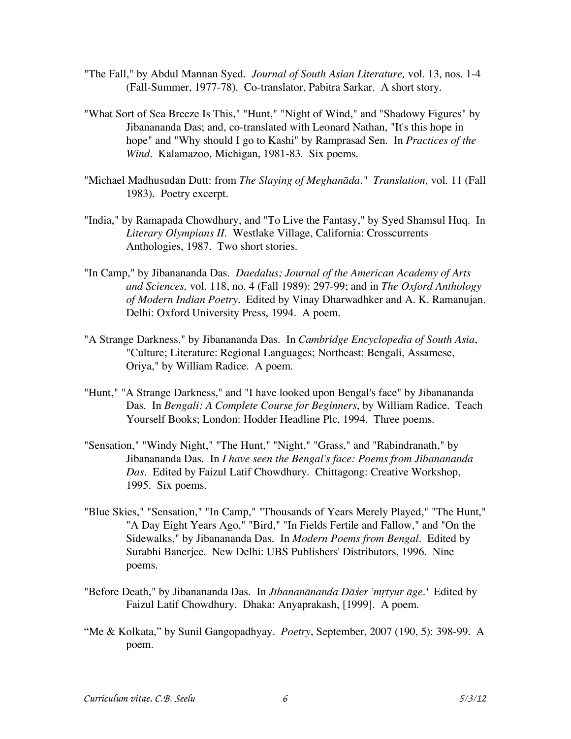- "The Fall," by Abdul Mannan Syed. *Journal of South Asian Literature,* vol. 13, nos. 1-4 (Fall-Summer, 1977-78). Co-translator, Pabitra Sarkar. A short story.
- "What Sort of Sea Breeze Is This," "Hunt," "Night of Wind," and "Shadowy Figures" by Jibanananda Das; and, co-translated with Leonard Nathan, "It's this hope in hope" and "Why should I go to Kashi" by Ramprasad Sen. In *Practices of the Wind.* Kalamazoo, Michigan, 1981-83. Six poems.
- "Michael Madhusudan Dutt: from *The Slaying of Meghan≠da." Translation,* vol. 11 (Fall 1983). Poetry excerpt.
- "India," by Ramapada Chowdhury, and "To Live the Fantasy," by Syed Shamsul Huq. In *Literary Olympians II.* Westlake Village, California: Crosscurrents Anthologies, 1987. Two short stories.
- "In Camp," by Jibanananda Das. *Daedalus; Journal of the American Academy of Arts and Sciences,* vol. 118, no. 4 (Fall 1989): 297-99; and in *The Oxford Anthology of Modern Indian Poetry.* Edited by Vinay Dharwadhker and A. K. Ramanujan. Delhi: Oxford University Press, 1994. A poem.
- "A Strange Darkness," by Jibanananda Das. In *Cambridge Encyclopedia of South Asia*, "Culture; Literature: Regional Languages; Northeast: Bengali, Assamese, Oriya," by William Radice. A poem.
- "Hunt," "A Strange Darkness," and "I have looked upon Bengal's face" by Jibanananda Das. In *Bengali: A Complete Course for Beginners*, by William Radice. Teach Yourself Books; London: Hodder Headline Plc, 1994. Three poems.
- "Sensation," "Windy Night," "The Hunt," "Night," "Grass," and "Rabindranath," by Jibanananda Das. In *I have seen the Bengal's face: Poems from Jibanananda Das.* Edited by Faizul Latif Chowdhury. Chittagong: Creative Workshop, 1995. Six poems.
- "Blue Skies," "Sensation," "In Camp," "Thousands of Years Merely Played," "The Hunt," "A Day Eight Years Ago," "Bird," "In Fields Fertile and Fallow," and "On the Sidewalks," by Jibanananda Das. In *Modern Poems from Bengal.* Edited by Surabhi Banerjee. New Delhi: UBS Publishers' Distributors, 1996. Nine poems.
- "Before Death," by Jibanananda Das. In *Jībananānanda Dāšer 'mrtyur āge.'* Edited by Faizul Latif Chowdhury. Dhaka: Anyaprakash, [1999]. A poem.
- "Me & Kolkata," by Sunil Gangopadhyay. *Poetry*, September, 2007 (190, 5): 398-99. A poem.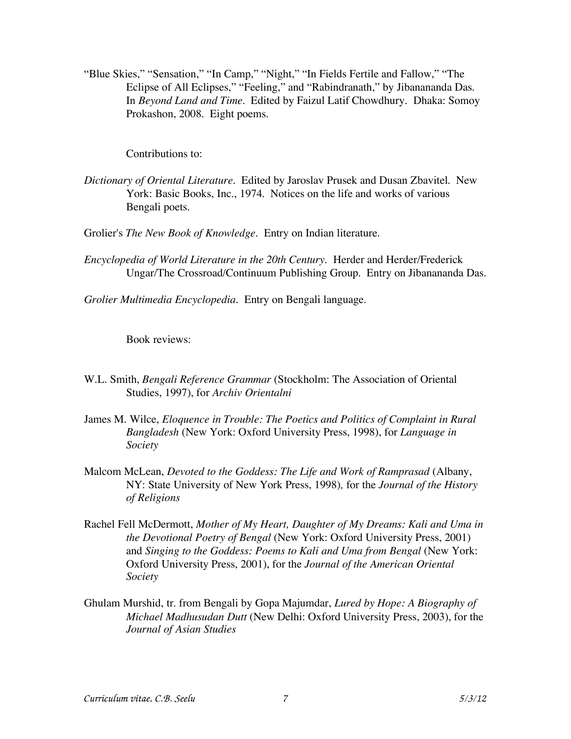"Blue Skies," "Sensation," "In Camp," "Night," "In Fields Fertile and Fallow," "The Eclipse of All Eclipses," "Feeling," and "Rabindranath," by Jibanananda Das. In *Beyond Land and Time*. Edited by Faizul Latif Chowdhury. Dhaka: Somoy Prokashon, 2008. Eight poems.

Contributions to:

*Dictionary of Oriental Literature.* Edited by Jaroslav Prusek and Dusan Zbavitel. New York: Basic Books, Inc., 1974. Notices on the life and works of various Bengali poets.

Grolier's *The New Book of Knowledge.* Entry on Indian literature.

*Encyclopedia of World Literature in the 20th Century.* Herder and Herder/Frederick Ungar/The Crossroad/Continuum Publishing Group. Entry on Jibanananda Das.

*Grolier Multimedia Encyclopedia.* Entry on Bengali language.

Book reviews:

- W.L. Smith, *Bengali Reference Grammar* (Stockholm: The Association of Oriental Studies, 1997), for *Archiv Orientalni*
- James M. Wilce, *Eloquence in Trouble: The Poetics and Politics of Complaint in Rural Bangladesh* (New York: Oxford University Press, 1998), for *Language in Society*
- Malcom McLean, *Devoted to the Goddess: The Life and Work of Ramprasad* (Albany, NY: State University of New York Press, 1998)*,* for the *Journal of the History of Religions*
- Rachel Fell McDermott, *Mother of My Heart, Daughter of My Dreams: Kali and Uma in the Devotional Poetry of Bengal* (New York: Oxford University Press, 2001) and *Singing to the Goddess: Poems to Kali and Uma from Bengal* (New York: Oxford University Press, 2001), for the *Journal of the American Oriental Society*
- Ghulam Murshid, tr. from Bengali by Gopa Majumdar, *Lured by Hope: A Biography of Michael Madhusudan Dutt* (New Delhi: Oxford University Press, 2003), for the *Journal of Asian Studies*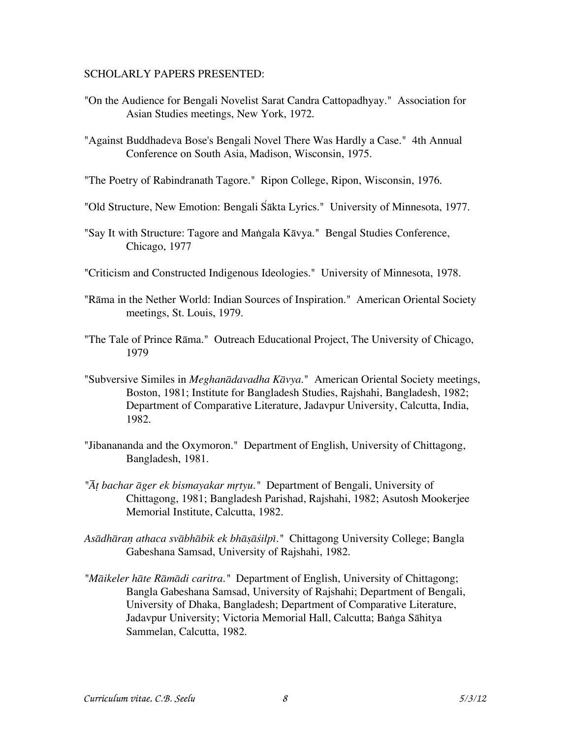#### SCHOLARLY PAPERS PRESENTED:

- "On the Audience for Bengali Novelist Sarat Candra Cattopadhyay." Association for Asian Studies meetings, New York, 1972.
- "Against Buddhadeva Bose's Bengali Novel There Was Hardly a Case." 4th Annual Conference on South Asia, Madison, Wisconsin, 1975.
- "The Poetry of Rabindranath Tagore." Ripon College, Ripon, Wisconsin, 1976.
- "Old Structure, New Emotion: Bengali Sakta Lyrics." University of Minnesota, 1977.
- "Say It with Structure: Tagore and Mangala Kāvya." Bengal Studies Conference, Chicago, 1977
- "Criticism and Constructed Indigenous Ideologies." University of Minnesota, 1978.
- "Rāma in the Nether World: Indian Sources of Inspiration." American Oriental Society meetings, St. Louis, 1979.
- "The Tale of Prince Rāma." Outreach Educational Project, The University of Chicago, 1979
- "Subversive Similes in *Meghan≠davadha K≠vya.*" American Oriental Society meetings, Boston, 1981; Institute for Bangladesh Studies, Rajshahi, Bangladesh, 1982; Department of Comparative Literature, Jadavpur University, Calcutta, India, 1982.
- "Jibanananda and the Oxymoron." Department of English, University of Chittagong, Bangladesh, 1981.
- *"π± bachar ≠ger ek bismayakar m∞tyu."* Department of Bengali, University of Chittagong, 1981; Bangladesh Parishad, Rajshahi, 1982; Asutosh Mookerjee Memorial Institute, Calcutta, 1982.
- *As≠dh≠ra≥ athaca sv≠bh≠bik ek bh≠µ≠∏ilpÆ."* Chittagong University College; Bangla Gabeshana Samsad, University of Rajshahi, 1982.
- *"M≠ikeler h≠te R≠m≠di caritra."* Department of English, University of Chittagong; Bangla Gabeshana Samsad, University of Rajshahi; Department of Bengali, University of Dhaka, Bangladesh; Department of Comparative Literature, Jadavpur University; Victoria Memorial Hall, Calcutta; Banga Sāhitya Sammelan, Calcutta, 1982.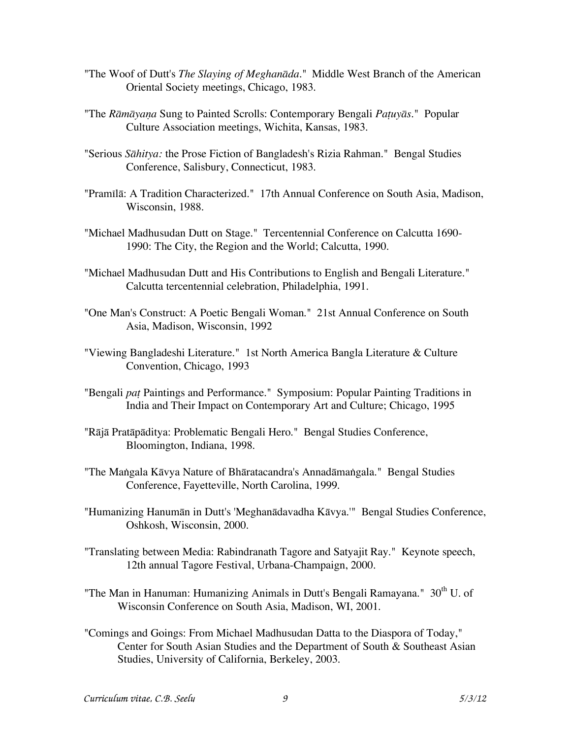- "The Woof of Dutt's *The Slaying of Meghan≠da*." Middle West Branch of the American Oriental Society meetings, Chicago, 1983.
- "The *R≠m≠ya≥a* Sung to Painted Scrolls: Contemporary Bengali *Pa±uy≠s.*" Popular Culture Association meetings, Wichita, Kansas, 1983.
- "Serious *S≠hitya:* the Prose Fiction of Bangladesh's Rizia Rahman." Bengal Studies Conference, Salisbury, Connecticut, 1983.
- "Pramilā: A Tradition Characterized." 17th Annual Conference on South Asia, Madison, Wisconsin, 1988.
- "Michael Madhusudan Dutt on Stage." Tercentennial Conference on Calcutta 1690- 1990: The City, the Region and the World; Calcutta, 1990.
- "Michael Madhusudan Dutt and His Contributions to English and Bengali Literature." Calcutta tercentennial celebration, Philadelphia, 1991.
- "One Man's Construct: A Poetic Bengali Woman." 21st Annual Conference on South Asia, Madison, Wisconsin, 1992
- "Viewing Bangladeshi Literature." 1st North America Bangla Literature & Culture Convention, Chicago, 1993
- "Bengali *pat* Paintings and Performance." Symposium: Popular Painting Traditions in India and Their Impact on Contemporary Art and Culture; Chicago, 1995
- "Rājā Pratāpāditya: Problematic Bengali Hero." Bengal Studies Conference, Bloomington, Indiana, 1998.
- "The Mangala Kāvya Nature of Bhāratacandra's Annadāmangala." Bengal Studies Conference, Fayetteville, North Carolina, 1999.
- "Humanizing Hanumān in Dutt's 'Meghanādavadha Kāvya.'" Bengal Studies Conference, Oshkosh, Wisconsin, 2000.
- "Translating between Media: Rabindranath Tagore and Satyajit Ray." Keynote speech, 12th annual Tagore Festival, Urbana-Champaign, 2000.
- "The Man in Hanuman: Humanizing Animals in Dutt's Bengali Ramayana."  $30<sup>th</sup>$  U. of Wisconsin Conference on South Asia, Madison, WI, 2001.
- "Comings and Goings: From Michael Madhusudan Datta to the Diaspora of Today," Center for South Asian Studies and the Department of South & Southeast Asian Studies, University of California, Berkeley, 2003.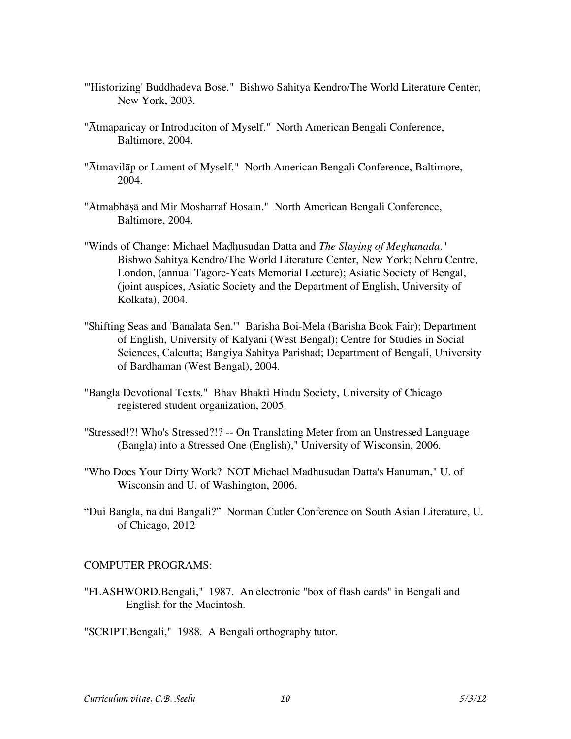- "'Historizing' Buddhadeva Bose." Bishwo Sahitya Kendro/The World Literature Center, New York, 2003.
- "Atmaparicay or Introduciton of Myself." North American Bengali Conference, Baltimore, 2004.
- "Atmavilap or Lament of Myself." North American Bengali Conference, Baltimore, 2004.
- "Ātmabhāṣā and Mir Mosharraf Hosain." North American Bengali Conference, Baltimore, 2004.
- "Winds of Change: Michael Madhusudan Datta and *The Slaying of Meghanada.*" Bishwo Sahitya Kendro/The World Literature Center, New York; Nehru Centre, London, (annual Tagore-Yeats Memorial Lecture); Asiatic Society of Bengal, (joint auspices, Asiatic Society and the Department of English, University of Kolkata), 2004.
- "Shifting Seas and 'Banalata Sen.'" Barisha Boi-Mela (Barisha Book Fair); Department of English, University of Kalyani (West Bengal); Centre for Studies in Social Sciences, Calcutta; Bangiya Sahitya Parishad; Department of Bengali, University of Bardhaman (West Bengal), 2004.
- "Bangla Devotional Texts." Bhav Bhakti Hindu Society, University of Chicago registered student organization, 2005.
- "Stressed!?! Who's Stressed?!? -- On Translating Meter from an Unstressed Language (Bangla) into a Stressed One (English)," University of Wisconsin, 2006.
- "Who Does Your Dirty Work? NOT Michael Madhusudan Datta's Hanuman," U. of Wisconsin and U. of Washington, 2006.
- "Dui Bangla, na dui Bangali?" Norman Cutler Conference on South Asian Literature, U. of Chicago, 2012

# COMPUTER PROGRAMS:

"FLASHWORD.Bengali," 1987. An electronic "box of flash cards" in Bengali and English for the Macintosh.

"SCRIPT.Bengali," 1988. A Bengali orthography tutor.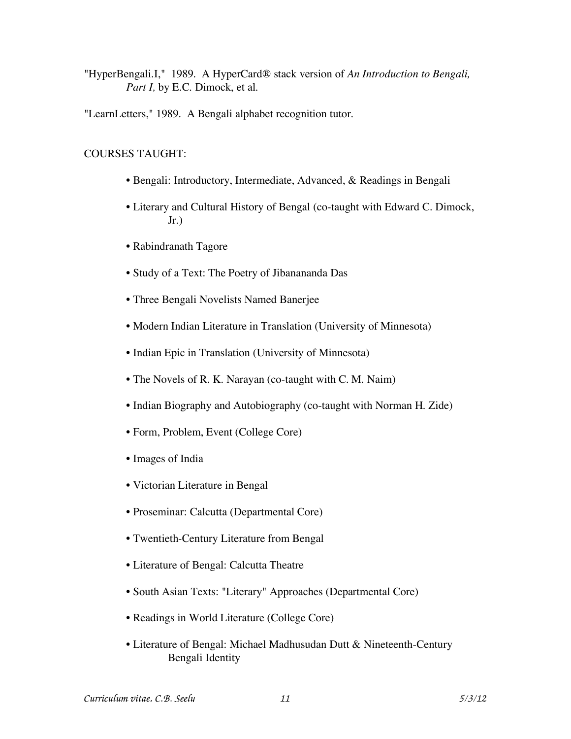"HyperBengali.I," 1989. A HyperCard® stack version of *An Introduction to Bengali, Part I,* by E.C. Dimock, et al.

"LearnLetters," 1989. A Bengali alphabet recognition tutor.

# COURSES TAUGHT:

- Bengali: Introductory, Intermediate, Advanced, & Readings in Bengali
- Literary and Cultural History of Bengal (co-taught with Edward C. Dimock, Jr.)
- Rabindranath Tagore
- Study of a Text: The Poetry of Jibanananda Das
- Three Bengali Novelists Named Banerjee
- Modern Indian Literature in Translation (University of Minnesota)
- Indian Epic in Translation (University of Minnesota)
- The Novels of R. K. Narayan (co-taught with C. M. Naim)
- Indian Biography and Autobiography (co-taught with Norman H. Zide)
- Form, Problem, Event (College Core)
- Images of India
- Victorian Literature in Bengal
- Proseminar: Calcutta (Departmental Core)
- Twentieth-Century Literature from Bengal
- Literature of Bengal: Calcutta Theatre
- South Asian Texts: "Literary" Approaches (Departmental Core)
- Readings in World Literature (College Core)
- Literature of Bengal: Michael Madhusudan Dutt & Nineteenth-Century Bengali Identity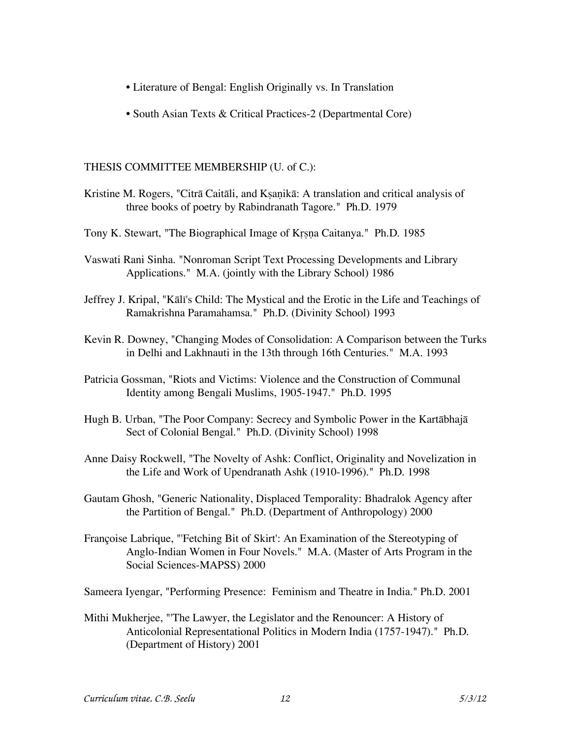- Literature of Bengal: English Originally vs. In Translation
- South Asian Texts & Critical Practices-2 (Departmental Core)

### THESIS COMMITTEE MEMBERSHIP (U. of C.):

- Kristine M. Rogers, "Citrā Caitāli, and Kṣaṇikā: A translation and critical analysis of three books of poetry by Rabindranath Tagore." Ph.D. 1979
- Tony K. Stewart, "The Biographical Image of Krsna Caitanya." Ph.D. 1985
- Vaswati Rani Sinha. "Nonroman Script Text Processing Developments and Library Applications." M.A. (jointly with the Library School) 1986
- Jeffrey J. Kripal, "Kālī's Child: The Mystical and the Erotic in the Life and Teachings of Ramakrishna Paramahamsa." Ph.D. (Divinity School) 1993
- Kevin R. Downey, "Changing Modes of Consolidation: A Comparison between the Turks in Delhi and Lakhnauti in the 13th through 16th Centuries." M.A. 1993
- Patricia Gossman, "Riots and Victims: Violence and the Construction of Communal Identity among Bengali Muslims, 1905-1947." Ph.D. 1995
- Hugh B. Urban, "The Poor Company: Secrecy and Symbolic Power in the Kartābhajā Sect of Colonial Bengal." Ph.D. (Divinity School) 1998
- Anne Daisy Rockwell, "The Novelty of Ashk: Conflict, Originality and Novelization in the Life and Work of Upendranath Ashk (1910-1996)." Ph.D. 1998
- Gautam Ghosh, "Generic Nationality, Displaced Temporality: Bhadralok Agency after the Partition of Bengal." Ph.D. (Department of Anthropology) 2000
- Françoise Labrique, "'Fetching Bit of Skirt': An Examination of the Stereotyping of Anglo-Indian Women in Four Novels." M.A. (Master of Arts Program in the Social Sciences-MAPSS) 2000

Sameera Iyengar, "Performing Presence: Feminism and Theatre in India." Ph.D. 2001

Mithi Mukherjee, "'The Lawyer, the Legislator and the Renouncer: A History of Anticolonial Representational Politics in Modern India (1757-1947)." Ph.D. (Department of History) 2001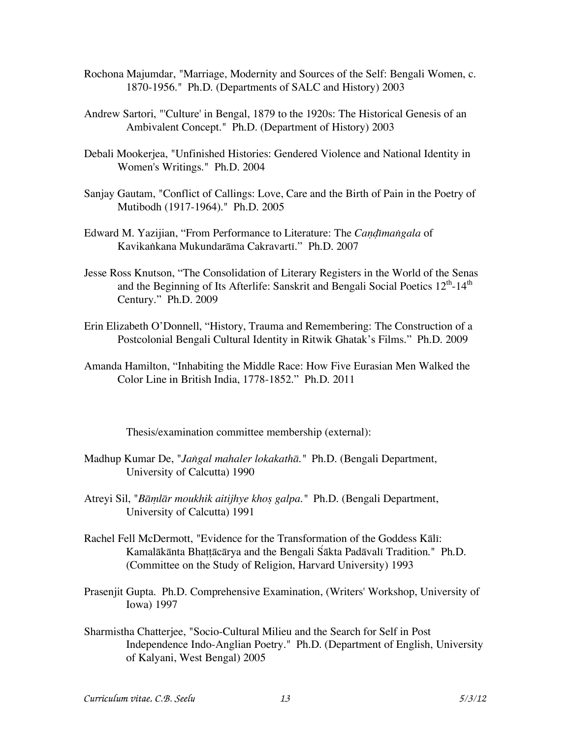- Rochona Majumdar, "Marriage, Modernity and Sources of the Self: Bengali Women, c. 1870-1956." Ph.D. (Departments of SALC and History) 2003
- Andrew Sartori, "'Culture' in Bengal, 1879 to the 1920s: The Historical Genesis of an Ambivalent Concept." Ph.D. (Department of History) 2003
- Debali Mookerjea, "Unfinished Histories: Gendered Violence and National Identity in Women's Writings." Ph.D. 2004
- Sanjay Gautam, "Conflict of Callings: Love, Care and the Birth of Pain in the Poetry of Mutibodh (1917-1964)." Ph.D. 2005
- Edward M. Yazijian, "From Performance to Literature: The *Candimangala* of Kavikankana Mukundarāma Cakravartī." Ph.D. 2007
- Jesse Ross Knutson, "The Consolidation of Literary Registers in the World of the Senas and the Beginning of Its Afterlife: Sanskrit and Bengali Social Poetics  $12^{th}$ -14<sup>th</sup> Century." Ph.D. 2009
- Erin Elizabeth O'Donnell, "History, Trauma and Remembering: The Construction of a Postcolonial Bengali Cultural Identity in Ritwik Ghatak's Films." Ph.D. 2009
- Amanda Hamilton, "Inhabiting the Middle Race: How Five Eurasian Men Walked the Color Line in British India, 1778-1852." Ph.D. 2011

Thesis/examination committee membership (external):

- Madhup Kumar De, "*Ja⋲gal mahaler lokakath≠."* Ph.D. (Bengali Department, University of Calcutta) 1990
- Atreyi Sil, "*B≠¥l≠r moukhik aitijhye khoµ galpa."* Ph.D. (Bengali Department, University of Calcutta) 1991
- Rachel Fell McDermott, "Evidence for the Transformation of the Goddess Kalī: Kamalākānta Bhattācārya and the Bengali Sākta Padāvalī Tradition." Ph.D. (Committee on the Study of Religion, Harvard University) 1993
- Prasenjit Gupta. Ph.D. Comprehensive Examination, (Writers' Workshop, University of Iowa) 1997
- Sharmistha Chatterjee, "Socio-Cultural Milieu and the Search for Self in Post Independence Indo-Anglian Poetry." Ph.D. (Department of English, University of Kalyani, West Bengal) 2005